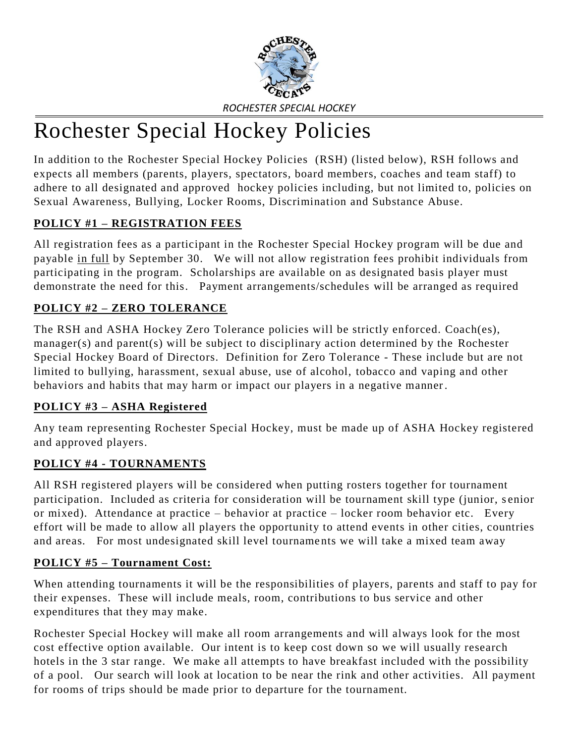

# Rochester Special Hockey Policies

In addition to the Rochester Special Hockey Policies (RSH) (listed below), RSH follows and expects all members (parents, players, spectators, board members, coaches and team staff) to adhere to all designated and approved hockey policies including, but not limited to, policies on Sexual Awareness, Bullying, Locker Rooms, Discrimination and Substance Abuse.

## **POLICY #1 – REGISTRATION FEES**

All registration fees as a participant in the Rochester Special Hockey program will be due and payable in full by September 30. We will not allow registration fees prohibit individuals from participating in the program. Scholarships are available on as designated basis player must demonstrate the need for this. Payment arrangements/schedules will be arranged as required

## **POLICY #2 – ZERO TOLERANCE**

The RSH and ASHA Hockey Zero Tolerance policies will be strictly enforced. Coach(es), manager(s) and parent(s) will be subject to disciplinary action determined by the Rochester Special Hockey Board of Directors. Definition for Zero Tolerance - These include but are not limited to bullying, harassment, sexual abuse, use of alcohol, tobacco and vaping and other behaviors and habits that may harm or impact our players in a negative manner.

#### **POLICY #3 – ASHA Registered**

Any team representing Rochester Special Hockey, must be made up of ASHA Hockey registered and approved players.

#### **POLICY #4 - TOURNAMENTS**

All RSH registered players will be considered when putting rosters together for tournament participation. Included as criteria for consideration will be tournament skill type (junior, s enior or mixed). Attendance at practice – behavior at practice – locker room behavior etc. Every effort will be made to allow all players the opportunity to attend events in other cities, countries and areas. For most undesignated skill level tourname nts we will take a mixed team away

#### **POLICY #5 – Tournament Cost:**

When attending tournaments it will be the responsibilities of players, parents and staff to pay for their expenses. These will include meals, room, contributions to bus service and other expenditures that they may make.

Rochester Special Hockey will make all room arrangements and will always look for the most cost effective option available. Our intent is to keep cost down so we will usually research hotels in the 3 star range. We make all attempts to have breakfast included with the possibility of a pool. Our search will look at location to be near the rink and other activities. All payment for rooms of trips should be made prior to departure for the tournament.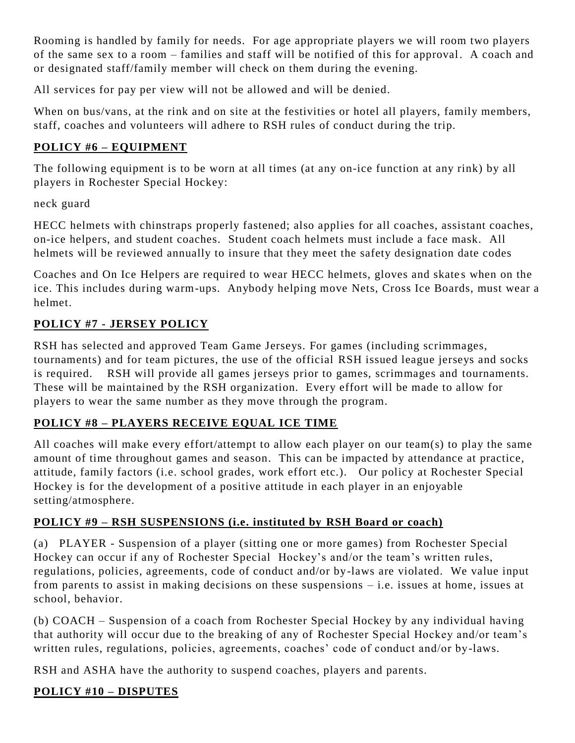Rooming is handled by family for needs. For age appropriate players we will room two players of the same sex to a room – families and staff will be notified of this for approval. A coach and or designated staff/family member will check on them during the evening.

All services for pay per view will not be allowed and will be denied.

When on bus/vans, at the rink and on site at the festivities or hotel all players, family members, staff, coaches and volunteers will adhere to RSH rules of conduct during the trip.

## **POLICY #6 – EQUIPMENT**

The following equipment is to be worn at all times (at any on-ice function at any rink) by all players in Rochester Special Hockey:

neck guard

HECC helmets with chinstraps properly fastened; also applies for all coaches, assistant coaches, on-ice helpers, and student coaches. Student coach helmets must include a face mask. All helmets will be reviewed annually to insure that they meet the safety designation date codes

Coaches and On Ice Helpers are required to wear HECC helmets, gloves and skates when on the ice. This includes during warm-ups. Anybody helping move Nets, Cross Ice Boards, must wear a helmet.

## **POLICY #7 - JERSEY POLICY**

RSH has selected and approved Team Game Jerseys. For games (including scrimmages, tournaments) and for team pictures, the use of the official RSH issued league jerseys and socks is required. RSH will provide all games jerseys prior to games, scrimmages and tournaments. These will be maintained by the RSH organization. Every effort will be made to allow for players to wear the same number as they move through the program.

## **POLICY #8 – PLAYERS RECEIVE EQUAL ICE TIME**

All coaches will make every effort/attempt to allow each player on our team(s) to play the same amount of time throughout games and season. This can be impacted by attendance at practice, attitude, family factors (i.e. school grades, work effort etc.). Our policy at Rochester Special Hockey is for the development of a positive attitude in each player in an enjoyable setting/atmosphere.

## **POLICY #9 – RSH SUSPENSIONS (i.e. instituted by RSH Board or coach)**

(a) PLAYER - Suspension of a player (sitting one or more games) from Rochester Special Hockey can occur if any of Rochester Special Hockey's and/or the team's written rules, regulations, policies, agreements, code of conduct and/or by-laws are violated. We value input from parents to assist in making decisions on these suspensions – i.e. issues at home, issues at school, behavior.

(b) COACH – Suspension of a coach from Rochester Special Hockey by any individual having that authority will occur due to the breaking of any of Rochester Special Hockey and/or team's written rules, regulations, policies, agreements, coaches' code of conduct and/or by-laws.

RSH and ASHA have the authority to suspend coaches, players and parents.

## **POLICY #10 – DISPUTES**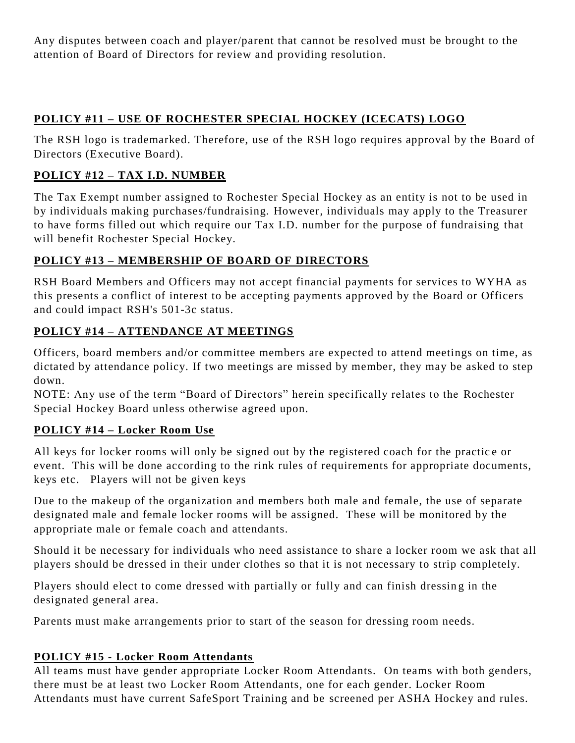Any disputes between coach and player/parent that cannot be resolved must be brought to the attention of Board of Directors for review and providing resolution.

## **POLICY #11 – USE OF ROCHESTER SPECIAL HOCKEY (ICECATS) LOGO**

The RSH logo is trademarked. Therefore, use of the RSH logo requires approval by the Board of Directors (Executive Board).

## **POLICY #12 – TAX I.D. NUMBER**

The Tax Exempt number assigned to Rochester Special Hockey as an entity is not to be used in by individuals making purchases/fundraising. However, individuals may apply to the Treasurer to have forms filled out which require our Tax I.D. number for the purpose of fundraising that will benefit Rochester Special Hockey.

## **POLICY #13 – MEMBERSHIP OF BOARD OF DIRECTORS**

RSH Board Members and Officers may not accept financial payments for services to WYHA as this presents a conflict of interest to be accepting payments approved by the Board or Officers and could impact RSH's 501-3c status.

## **POLICY #14 – ATTENDANCE AT MEETINGS**

Officers, board members and/or committee members are expected to attend meetings on time, as dictated by attendance policy. If two meetings are missed by member, they may be asked to step down.

NOTE: Any use of the term "Board of Directors" herein specifically relates to the Rochester Special Hockey Board unless otherwise agreed upon.

## **POLICY #14 – Locker Room Use**

All keys for locker rooms will only be signed out by the registered coach for the practice or event. This will be done according to the rink rules of requirements for appropriate documents, keys etc. Players will not be given keys

Due to the makeup of the organization and members both male and female, the use of separate designated male and female locker rooms will be assigned. These will be monitored by the appropriate male or female coach and attendants.

Should it be necessary for individuals who need assistance to share a locker room we ask that all players should be dressed in their under clothes so that it is not necessary to strip completely.

Players should elect to come dressed with partially or fully and can finish dressing in the designated general area.

Parents must make arrangements prior to start of the season for dressing room needs.

## **POLICY #15 - Locker Room Attendants**

All teams must have gender appropriate Locker Room Attendants. On teams with both genders, there must be at least two Locker Room Attendants, one for each gender. Locker Room Attendants must have current SafeSport Training and be screened per ASHA Hockey and rules.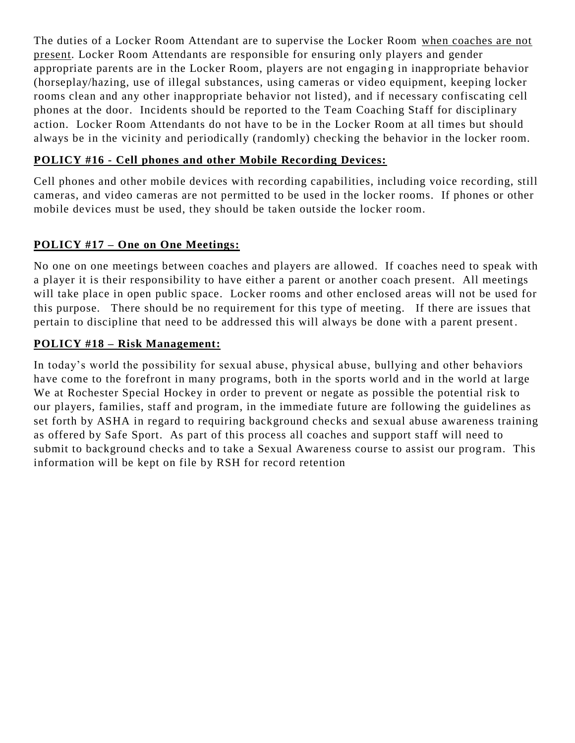The duties of a Locker Room Attendant are to supervise the Locker Room when coaches are not present. Locker Room Attendants are responsible for ensuring only players and gender appropriate parents are in the Locker Room, players are not engaging in inappropriate behavior (horseplay/hazing, use of illegal substances, using cameras or video equipment, keeping locker rooms clean and any other inappropriate behavior not listed), and if necessary confiscating cell phones at the door. Incidents should be reported to the Team Coaching Staff for disciplinary action. Locker Room Attendants do not have to be in the Locker Room at all times but should always be in the vicinity and periodically (randomly) checking the behavior in the locker room.

#### **POLICY #16 - Cell phones and other Mobile Recording Devices:**

Cell phones and other mobile devices with recording capabilities, including voice recording, still cameras, and video cameras are not permitted to be used in the locker rooms. If phones or other mobile devices must be used, they should be taken outside the locker room.

#### **POLICY #17 – One on One Meetings:**

No one on one meetings between coaches and players are allowed. If coaches need to speak with a player it is their responsibility to have either a parent or another coach present. All meetings will take place in open public space. Locker rooms and other enclosed areas will not be used for this purpose. There should be no requirement for this type of meeting. If there are issues that pertain to discipline that need to be addressed this will always be done with a parent present .

#### **POLICY #18 – Risk Management:**

In today's world the possibility for sexual abuse, physical abuse, bullying and other behaviors have come to the forefront in many programs, both in the sports world and in the world at large We at Rochester Special Hockey in order to prevent or negate as possible the potential risk to our players, families, staff and program, in the immediate future are following the guidelines as set forth by ASHA in regard to requiring background checks and sexual abuse awareness training as offered by Safe Sport. As part of this process all coaches and support staff will need to submit to background checks and to take a Sexual Awareness course to assist our program. This information will be kept on file by RSH for record retention